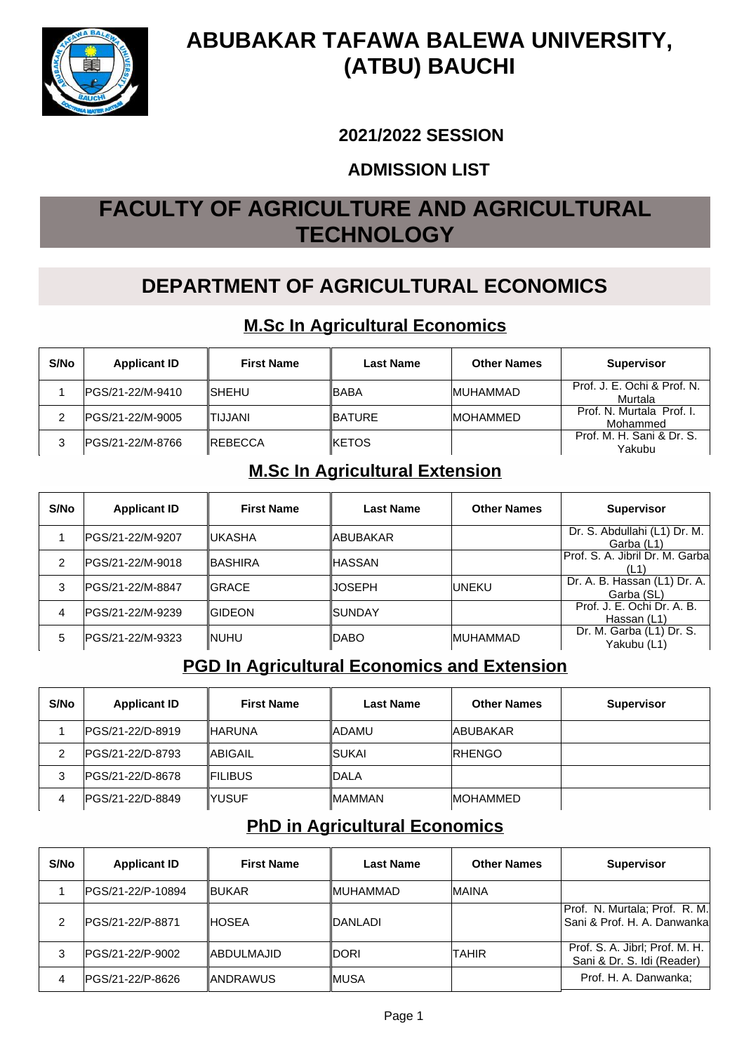

# **ABUBAKAR TAFAWA BALEWA UNIVERSITY, (ATBU) BAUCHI**

#### **2021/2022 SESSION**

#### **ADMISSION LIST**

# **FACULTY OF AGRICULTURE AND AGRICULTURAL TECHNOLOGY**

# **DEPARTMENT OF AGRICULTURAL ECONOMICS**

#### **M.Sc In Agricultural Economics**

| S/No | <b>Applicant ID</b> | <b>First Name</b> | <b>Last Name</b> | <b>Other Names</b> | <b>Supervisor</b>                      |
|------|---------------------|-------------------|------------------|--------------------|----------------------------------------|
|      | PGS/21-22/M-9410    | ISHEHU            | ∥BABA            | <b>IMUHAMMAD</b>   | Prof. J. E. Ochi & Prof. N.<br>Murtala |
|      | IPGS/21-22/M-9005   | TIJJANI           | <b>IBATURE</b>   | <b>IMOHAMMED</b>   | Prof. N. Murtala Prof. I.<br>Mohammed  |
|      | PGS/21-22/M-8766    | <b>IREBECCA</b>   | <b>IKETOS</b>    |                    | Prof. M. H. Sani & Dr. S.<br>Yakubu    |

#### **M.Sc In Agricultural Extension**

| S/No | <b>Applicant ID</b> | <b>First Name</b> | Last Name             | <b>Other Names</b> | <b>Supervisor</b>                          |
|------|---------------------|-------------------|-----------------------|--------------------|--------------------------------------------|
|      | IPGS/21-22/M-9207   | ∥UKASHA           | ∥ABUBAKAR             |                    | Dr. S. Abdullahi (L1) Dr. M.<br>Garba (L1) |
| 2    | IPGS/21-22/M-9018   | <b>IBASHIRA</b>   | ∥HASSAN               |                    | Prof. S. A. Jibril Dr. M. Garba<br>(L1)    |
| 3    | IPGS/21-22/M-8847   | <b>IGRACE</b>     | IJOSEPH               | <b>IUNEKU</b>      | Dr. A. B. Hassan (L1) Dr. A.<br>Garba (SL) |
| 4    | IPGS/21-22/M-9239   | <b>IGIDEON</b>    | <i><b>ISUNDAY</b></i> |                    | Prof. J. E. Ochi Dr. A. B.<br>Hassan (L1)  |
| 5    | IPGS/21-22/M-9323   | INUHU             | <b>IDABO</b>          | <b>MUHAMMAD</b>    | Dr. M. Garba (L1) Dr. S.<br>Yakubu (L1)    |

### **PGD In Agricultural Economics and Extension**

| S/No | <b>Applicant ID</b> | <b>First Name</b> | <b>Last Name</b> | <b>Other Names</b> | <b>Supervisor</b> |
|------|---------------------|-------------------|------------------|--------------------|-------------------|
|      | IPGS/21-22/D-8919   | <b>IHARUNA</b>    | <b>IADAMU</b>    | <b>ABUBAKAR</b>    |                   |
| 2    | IPGS/21-22/D-8793   | <b>ABIGAIL</b>    | <b>ISUKAI</b>    | <b>IRHENGO</b>     |                   |
| 3    | IPGS/21-22/D-8678   | <b>IFILIBUS</b>   | ∥DALA            |                    |                   |
| 4    | IPGS/21-22/D-8849   | IYUSUF            | <b>IMAMMAN</b>   | <b>IMOHAMMED</b>   |                   |

#### **PhD in Agricultural Economics**

| S/No | <b>Applicant ID</b> | <b>First Name</b> | <b>Last Name</b> | <b>Other Names</b> | <b>Supervisor</b>                                             |
|------|---------------------|-------------------|------------------|--------------------|---------------------------------------------------------------|
|      | IPGS/21-22/P-10894  | <b>IBUKAR</b>     | ∥MUHAMMAD        | <b>MAINA</b>       |                                                               |
| 2    | IPGS/21-22/P-8871   | IHOSEA            | IDANLADI         |                    | Prof. N. Murtala; Prof. R. M.<br> Sani & Prof. H. A. Danwanka |
| 3    | IPGS/21-22/P-9002   | IABDULMAJID       | idori            | TAHIR              | Prof. S. A. Jibrl; Prof. M. H.<br>Sani & Dr. S. Idi (Reader)  |
| 4    | IPGS/21-22/P-8626   | ∥ANDRAWUS         | ∥MUSA            |                    | Prof. H. A. Danwanka;                                         |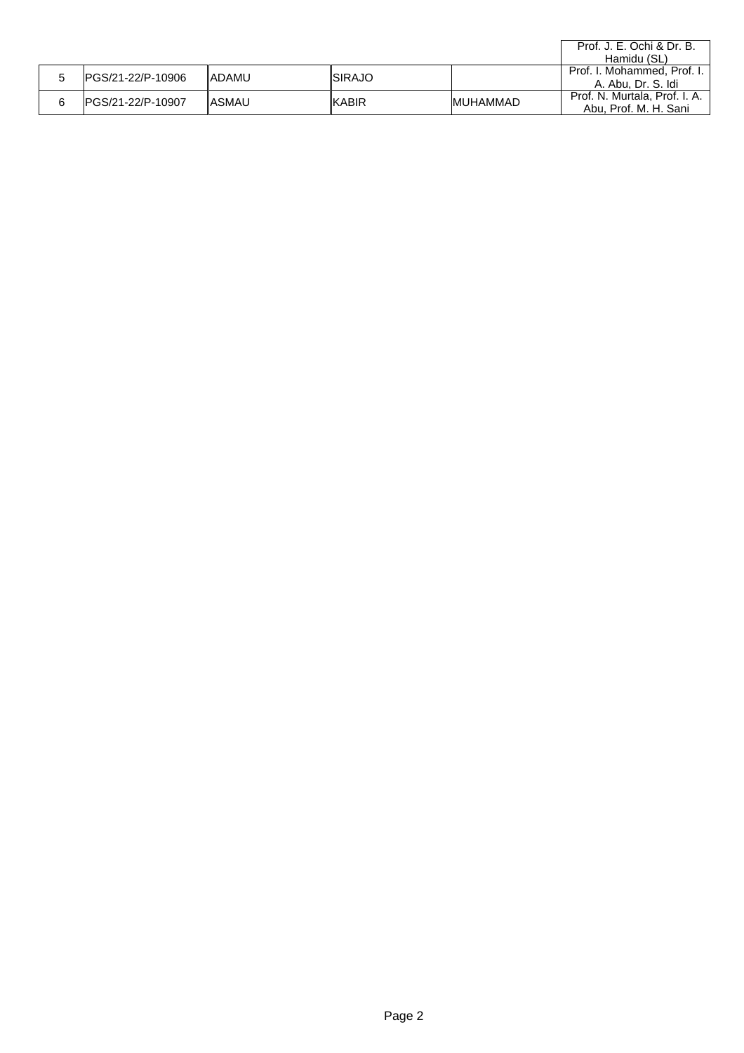|   |                    |        |                |                  | Prof. J. E. Ochi & Dr. B.<br>Hamidu (SL)               |
|---|--------------------|--------|----------------|------------------|--------------------------------------------------------|
| G | IPGS/21-22/P-10906 | ladamu | <b>ISIRAJO</b> |                  | Prof. I. Mohammed, Prof. I.<br>A. Abu. Dr. S. Idi      |
| 6 | IPGS/21-22/P-10907 | IASMAU | ∥KABIR         | <b>IMUHAMMAD</b> | Prof. N. Murtala, Prof. I. A.<br>Abu. Prof. M. H. Sani |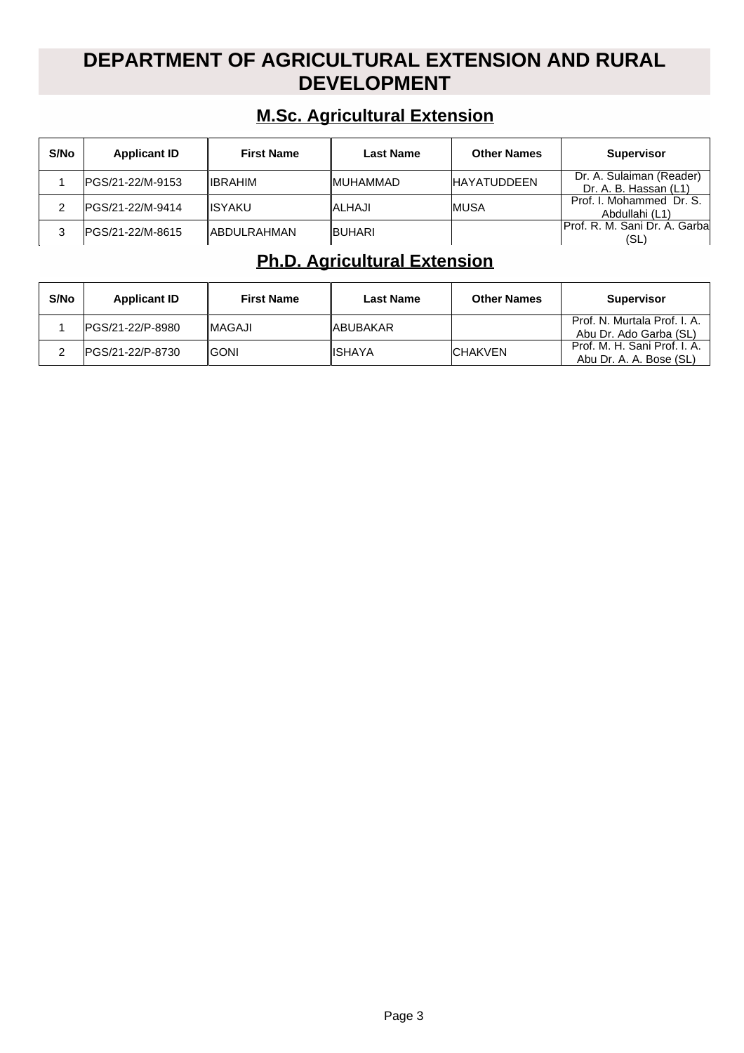## **DEPARTMENT OF AGRICULTURAL EXTENSION AND RURAL DEVELOPMENT**

#### **M.Sc. Agricultural Extension**

| S/No | <b>Applicant ID</b> | <b>First Name</b>   | <b>Last Name</b> | <b>Other Names</b> | <b>Supervisor</b>                                 |
|------|---------------------|---------------------|------------------|--------------------|---------------------------------------------------|
|      | IPGS/21-22/M-9153   | <b>IIBRAHIM</b>     | <b>IMUHAMMAD</b> | <b>HAYATUDDEEN</b> | Dr. A. Sulaiman (Reader)<br>Dr. A. B. Hassan (L1) |
|      | IPGS/21-22/M-9414   | <b>IISYAKU</b>      | <b>ALHAJI</b>    | <b>IMUSA</b>       | Prof. I. Mohammed Dr. S.<br>Abdullahi (L1)        |
|      | IPGS/21-22/M-8615   | <b>IABDULRAHMAN</b> | <b>BUHARI</b>    |                    | IProf. R. M. Sani Dr. A. Garbal<br>(SL)           |

## **Ph.D. Agricultural Extension**

| S/No | <b>Applicant ID</b> | <b>First Name</b> | <b>Last Name</b> | <b>Other Names</b> | <b>Supervisor</b>                                       |
|------|---------------------|-------------------|------------------|--------------------|---------------------------------------------------------|
|      | IPGS/21-22/P-8980   | <b>IMAGAJI</b>    | <b>IABUBAKAR</b> |                    | Prof. N. Murtala Prof. I. A.<br>Abu Dr. Ado Garba (SL)  |
|      | IPGS/21-22/P-8730   | <b>IGONI</b>      | <b>IISHAYA</b>   | <b>ICHAKVEN</b>    | Prof. M. H. Sani Prof. I. A.<br>Abu Dr. A. A. Bose (SL) |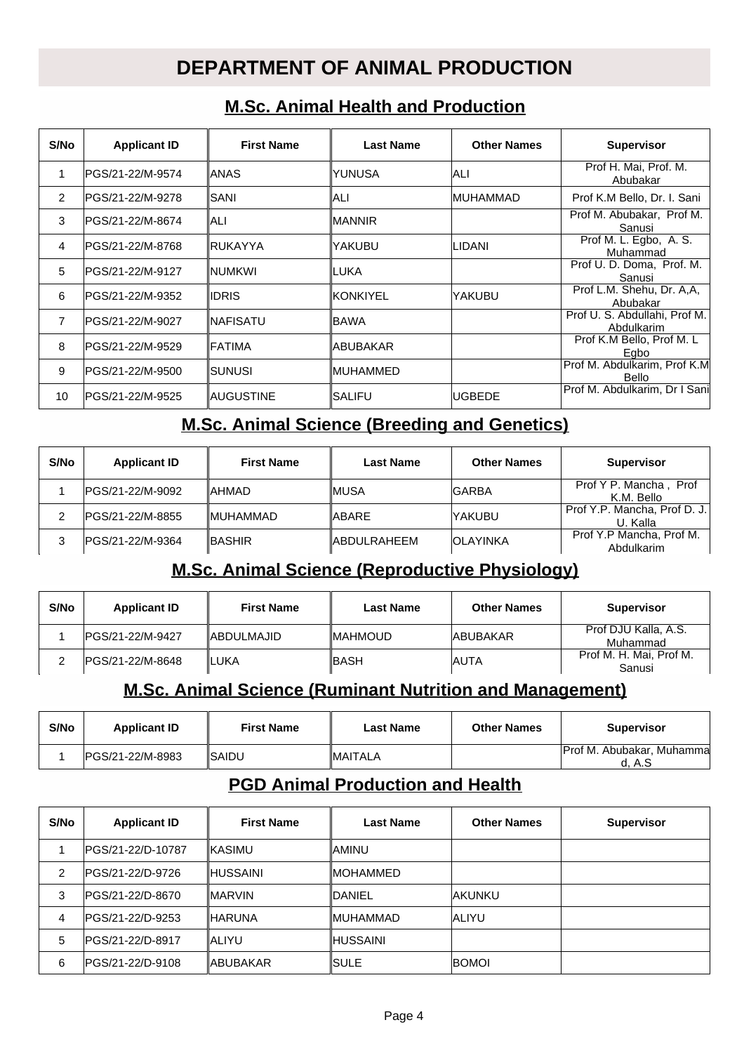## **DEPARTMENT OF ANIMAL PRODUCTION**

#### **M.Sc. Animal Health and Production**

| S/No | <b>Applicant ID</b> | <b>First Name</b> | <b>Last Name</b> | <b>Other Names</b> | <b>Supervisor</b>                           |
|------|---------------------|-------------------|------------------|--------------------|---------------------------------------------|
| 1    | IPGS/21-22/M-9574   | IANAS             | IYUNUSA          | ALI                | Prof H. Mai, Prof. M.<br>Abubakar           |
| 2    | IPGS/21-22/M-9278   | <b>SANI</b>       | IALI             | <b>IMUHAMMAD</b>   | Prof K.M Bello, Dr. I. Sani                 |
| 3    | IPGS/21-22/M-8674   | IALI              | IMANNIR          |                    | Prof M. Abubakar, Prof M.<br>Sanusi         |
| 4    | IPGS/21-22/M-8768   | ∥RUKAYYA          | lyakubu          | ILIDANI            | Prof M. L. Egbo, A. S.<br>Muhammad          |
| 5    | IPGS/21-22/M-9127   | ∥NUMKWI           | ∥LUKA            |                    | Prof U. D. Doma, Prof. M.<br>Sanusi         |
| 6    | IPGS/21-22/M-9352   | IIDRIS            | <b>IKONKIYEL</b> | YAKUBU             | Prof L.M. Shehu, Dr. A,A,<br>Abubakar       |
| 7    | IPGS/21-22/M-9027   | ∥NAFISATU         | IBAWA            |                    | Prof U. S. Abdullahi, Prof M.<br>Abdulkarim |
| 8    | IPGS/21-22/M-9529   | IFATIMA           | IABUBAKAR        |                    | Prof K.M Bello, Prof M. L<br>Egbo           |
| 9    | PGS/21-22/M-9500    | <b>SUNUSI</b>     | IMUHAMMED        |                    | Prof M. Abdulkarim, Prof K.M<br>Bello       |
| 10   | IPGS/21-22/M-9525   | ∥AUGUSTINE        | ISALIFU          | IUGBEDE            | Prof M. Abdulkarim. Dr I Sanil              |

#### **M.Sc. Animal Science (Breeding and Genetics)**

| S/No | <b>Applicant ID</b> | <b>First Name</b> | <b>Last Name</b>   | <b>Other Names</b> | <b>Supervisor</b>                        |
|------|---------------------|-------------------|--------------------|--------------------|------------------------------------------|
|      | IPGS/21-22/M-9092   | <b>IAHMAD</b>     | ∥MUSA              | <b>IGARBA</b>      | Prof Y P. Mancha,<br>Prof<br>K.M. Bello  |
|      | IPGS/21-22/M-8855   | <b>IMUHAMMAD</b>  | <b>ABARE</b>       | <b>YAKUBU</b>      | Prof Y.P. Mancha, Prof D. J.<br>U. Kalla |
| 3    | IPGS/21-22/M-9364   | <b>IBASHIR</b>    | <b>ABDULRAHEEM</b> | <b>IOLAYINKA</b>   | Prof Y.P Mancha, Prof M.<br>Abdulkarim   |

#### **M.Sc. Animal Science (Reproductive Physiology)**

| S/No | <b>Applicant ID</b> | <b>First Name</b>  | <b>Last Name</b> | <b>Other Names</b> | <b>Supervisor</b>                 |
|------|---------------------|--------------------|------------------|--------------------|-----------------------------------|
|      | IPGS/21-22/M-9427   | <b>IABDULMAJID</b> | <b>IMAHMOUD</b>  | <b>JABUBAKAR</b>   | Prof DJU Kalla, A.S.<br>Muhammad  |
|      | IPGS/21-22/M-8648   | ILUKA              | ∥BASH            | <b>AUTA</b>        | Prof M. H. Mai, Prof M.<br>Sanusi |

#### **M.Sc. Animal Science (Ruminant Nutrition and Management)**

| S/No | <b>Applicant ID</b> | <b>First Name</b>    | Last Name       | <b>Other Names</b> | <b>Supervisor</b>                          |
|------|---------------------|----------------------|-----------------|--------------------|--------------------------------------------|
|      | PGS/21-22/M-8983    | <i><b>ISAIDU</b></i> | <b>IMAITALA</b> |                    | <b>Prof M. Abubakar, Muhamma</b><br>d. A.S |

#### **PGD Animal Production and Health**

| S/No | <b>Applicant ID</b> | <b>First Name</b> | Last Name        | <b>Other Names</b> | <b>Supervisor</b> |
|------|---------------------|-------------------|------------------|--------------------|-------------------|
|      | IPGS/21-22/D-10787  | IKASIMU           | IAMINU           |                    |                   |
| 2    | PGS/21-22/D-9726    | <b>IHUSSAINI</b>  | <b>IMOHAMMED</b> |                    |                   |
| 3    | IPGS/21-22/D-8670   | <b>IMARVIN</b>    | <b>IDANIEL</b>   | <b>AKUNKU</b>      |                   |
| 4    | PGS/21-22/D-9253    | <b>IHARUNA</b>    | ∥MUHAMMAD        | <b>ALIYU</b>       |                   |
| 5    | IPGS/21-22/D-8917   | ∥ALIYU            | ∥HUSSAINI        |                    |                   |
| 6    | PGS/21-22/D-9108    | ∥ABUBAKAR         | ∥SULE            | <b>BOMOI</b>       |                   |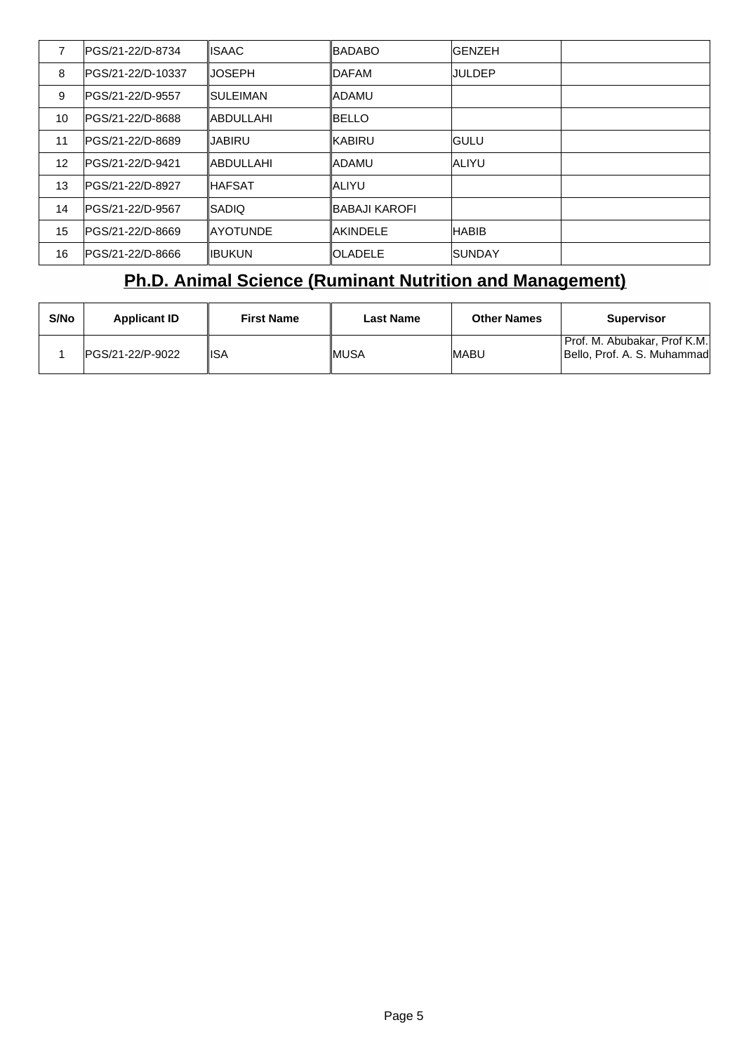|    | lPGS/21-22/D-8734  | lISAAC.          | <b>IBADABO</b>        | <b>IGENZEH</b> |  |
|----|--------------------|------------------|-----------------------|----------------|--|
| 8  | IPGS/21-22/D-10337 | IIJOSEPH         | <b>IDAFAM</b>         | IJULDEP        |  |
| 9  | lPGS/21-22/D-9557  | ISULEIMAN        | <b>IADAMU</b>         |                |  |
| 10 | lPGS/21-22/D-8688  | IABDULLAHI       | <b>IBELLO</b>         |                |  |
| 11 | lPGS/21-22/D-8689  | IJABIRU          | <b>KABIRU</b>         | <b>IGULU</b>   |  |
| 12 | IPGS/21-22/D-9421  | IABDULLAHI       | <b>IADAMU</b>         | <b>JALIYU</b>  |  |
| 13 | lPGS/21-22/D-8927  | ∥HAFSAT          | <b>ALIYU</b>          |                |  |
| 14 | lPGS/21-22/D-9567  | ISADIO           | <b>IBABAJI KAROFI</b> |                |  |
| 15 | IPGS/21-22/D-8669  | <b>IAYOTUNDE</b> | <b>AKINDELE</b>       | <b>HABIB</b>   |  |
| 16 | lPGS/21-22/D-8666  | <b>IIBUKUN</b>   | <b>IOLADELE</b>       | ISUNDAY        |  |

# **Ph.D. Animal Science (Ruminant Nutrition and Management)**

| S/No | <b>Applicant ID</b> | <b>First Name</b> | <b>Last Name</b> | <b>Other Names</b> | <b>Supervisor</b>                                           |
|------|---------------------|-------------------|------------------|--------------------|-------------------------------------------------------------|
|      | IPGS/21-22/P-9022   | 'ISA              | ∥MUSA            | <b>IMABU</b>       | Prof. M. Abubakar, Prof K.M.<br>Bello, Prof. A. S. Muhammad |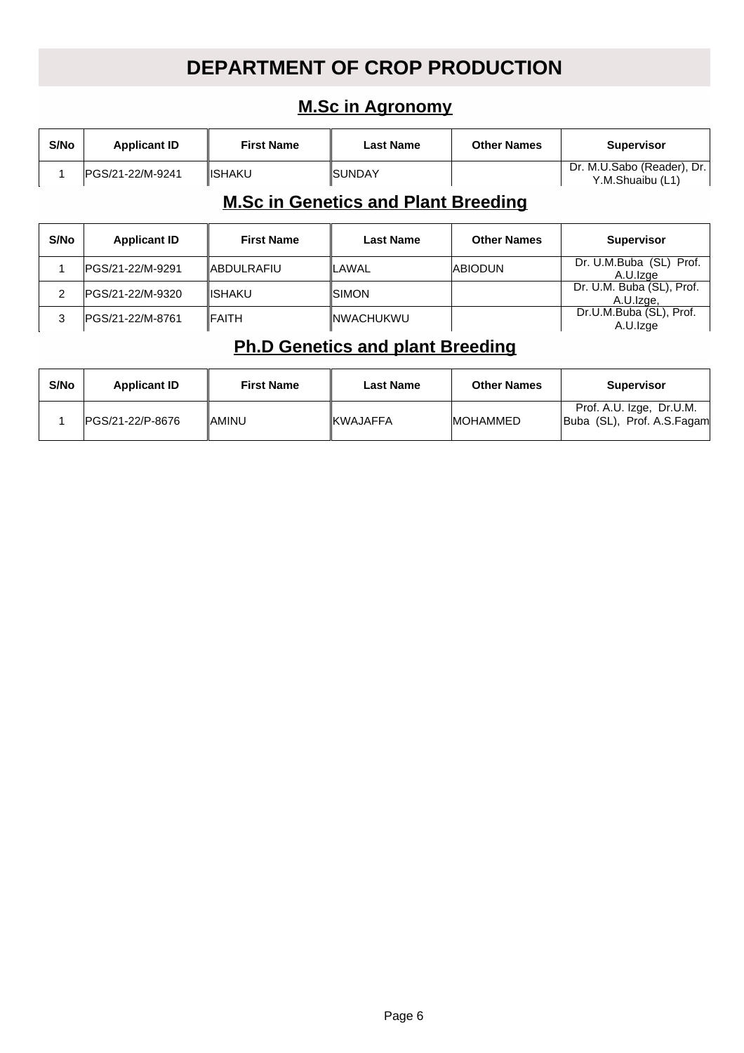## **DEPARTMENT OF CROP PRODUCTION**

## **M.Sc in Agronomy**

| S/No | <b>Applicant ID</b> | <b>First Name</b> | Last Name             | <b>Other Names</b> | <b>Supervisor</b>                              |
|------|---------------------|-------------------|-----------------------|--------------------|------------------------------------------------|
|      | IPGS/21-22/M-9241   | <b>IISHAKU</b>    | <i><b>ISUNDAY</b></i> |                    | Dr. M.U.Sabo (Reader), Dr.<br>Y.M.Shuaibu (L1) |

## **M.Sc in Genetics and Plant Breeding**

| S/No | <b>Applicant ID</b> | <b>First Name</b> | <b>Last Name</b>  | <b>Other Names</b> | <b>Supervisor</b>                      |
|------|---------------------|-------------------|-------------------|--------------------|----------------------------------------|
|      | IPGS/21-22/M-9291   | <b>ABDULRAFIU</b> | <b>ILAWAL</b>     | <b>ABIODUN</b>     | Dr. U.M.Buba (SL) Prof.<br>A.U.Izge    |
|      | IPGS/21-22/M-9320   | <b>IISHAKU</b>    | ISIMON.           |                    | Dr. U.M. Buba (SL), Prof.<br>A.U.Izge, |
|      | IPGS/21-22/M-8761   | IFAITH            | <b>INWACHUKWU</b> |                    | Dr.U.M.Buba (SL), Prof.<br>A.U.Izge    |

## **Ph.D Genetics and plant Breeding**

| S/No | <b>Applicant ID</b> | <b>First Name</b> | Last Name        | <b>Other Names</b> | <b>Supervisor</b>                                      |
|------|---------------------|-------------------|------------------|--------------------|--------------------------------------------------------|
|      | IPGS/21-22/P-8676   | IAMINU            | <b>IKWAJAFFA</b> | <b>IMOHAMMED</b>   | Prof. A.U. Izge, Dr.U.M.<br>Buba (SL), Prof. A.S.Fagam |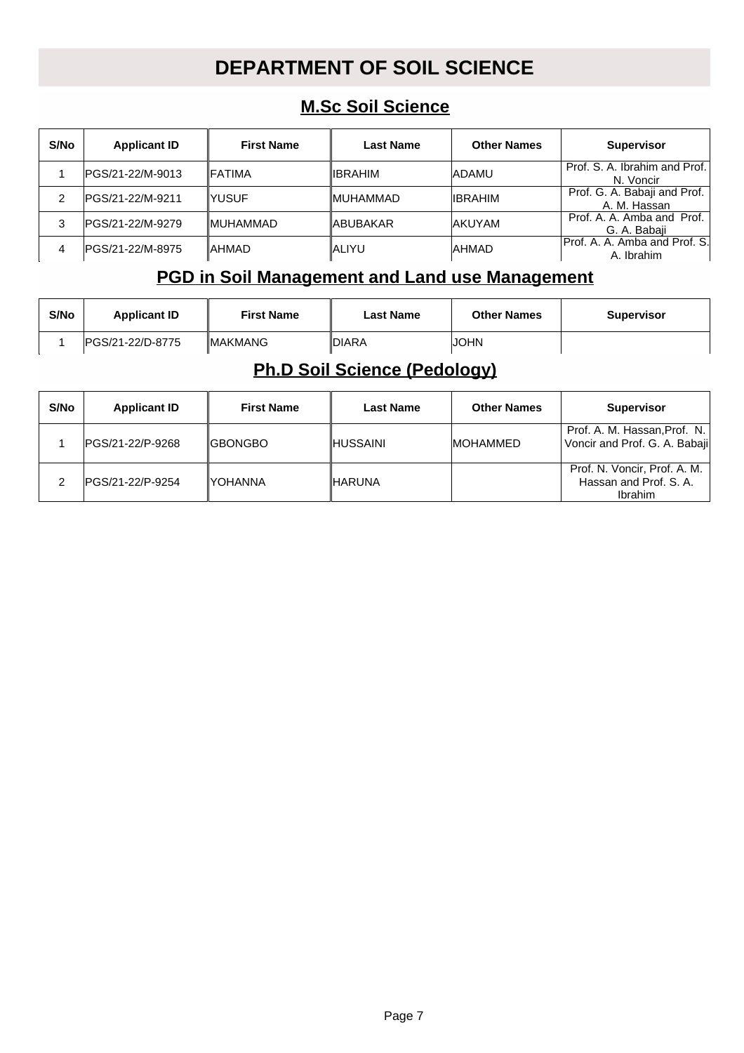# **DEPARTMENT OF SOIL SCIENCE**

## **M.Sc Soil Science**

| S/No | <b>Applicant ID</b> | <b>First Name</b> | <b>Last Name</b> | <b>Other Names</b> | <b>Supervisor</b>                            |
|------|---------------------|-------------------|------------------|--------------------|----------------------------------------------|
|      | IPGS/21-22/M-9013   | <b>IFATIMA</b>    | <b>IIBRAHIM</b>  | <b>ADAMU</b>       | Prof. S. A. Ibrahim and Prof.<br>N. Voncir   |
| 2    | IPGS/21-22/M-9211   | IYUSUF            | <b>IMUHAMMAD</b> | <b>IIBRAHIM</b>    | Prof. G. A. Babaji and Prof.<br>A. M. Hassan |
| 3    | IPGS/21-22/M-9279   | <b>IMUHAMMAD</b>  | <b>IABUBAKAR</b> | <b>JAKUYAM</b>     | Prof. A. A. Amba and Prof.<br>G. A. Babaji   |
| 4    | IPGS/21-22/M-8975   | ∥AHMAD            | ∥ALIYU           | <b>AHMAD</b>       | Prof. A. A. Amba and Prof. S. <br>A. Ibrahim |

## **PGD in Soil Management and Land use Management**

| S/No | <b>Applicant ID</b> | <b>First Name</b> | Last Name | <b>Other Names</b> | <b>Supervisor</b> |
|------|---------------------|-------------------|-----------|--------------------|-------------------|
|      | IPGS/21-22/D-8775   | <b>IMAKMANG</b>   | 'IDIARA   | JOHN               |                   |

## **Ph.D Soil Science (Pedology)**

| S/No | <b>Applicant ID</b> | <b>First Name</b> | <b>Last Name</b> | <b>Other Names</b> | <b>Supervisor</b>                                                 |
|------|---------------------|-------------------|------------------|--------------------|-------------------------------------------------------------------|
|      | IPGS/21-22/P-9268   | <b>IGBONGBO</b>   | ∥HUSSAINI        | <b>IMOHAMMED</b>   | Prof. A. M. Hassan, Prof. N.<br>Voncir and Prof. G. A. Babaji     |
|      | IPGS/21-22/P-9254   | IYOHANNA          | ∥HARUNA          |                    | Prof. N. Voncir, Prof. A. M.<br>Hassan and Prof. S. A.<br>Ibrahim |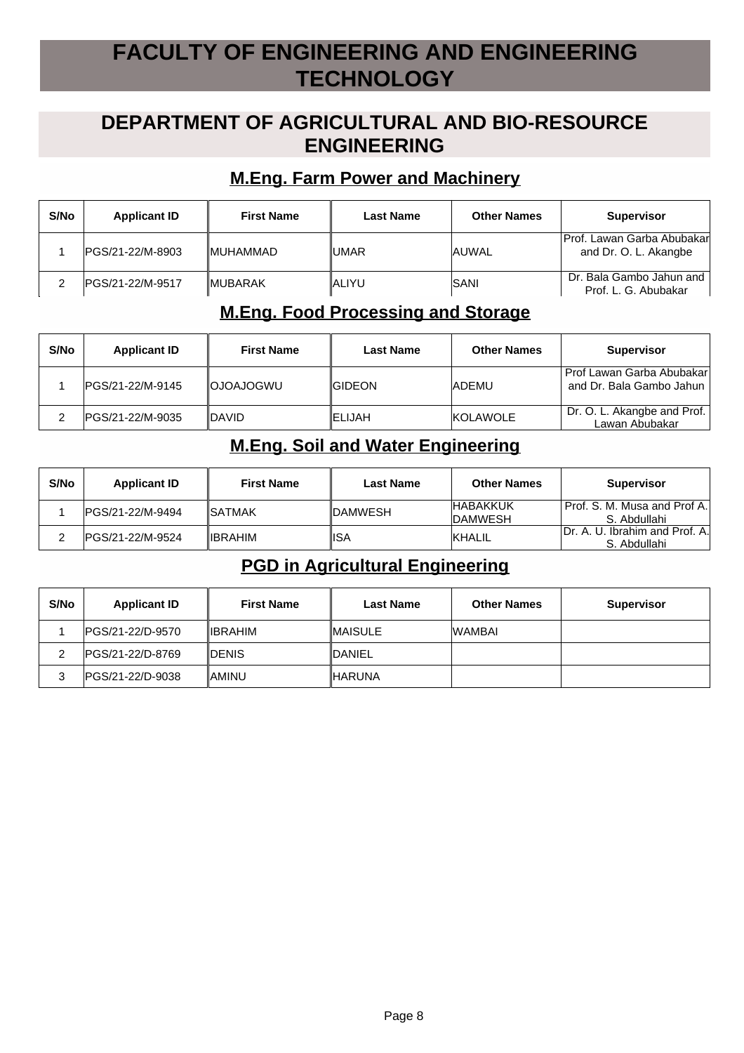# **FACULTY OF ENGINEERING AND ENGINEERING TECHNOLOGY**

## **DEPARTMENT OF AGRICULTURAL AND BIO-RESOURCE ENGINEERING**

#### **M.Eng. Farm Power and Machinery**

| S/No | <b>Applicant ID</b> | <b>First Name</b> | <b>Last Name</b> | <b>Other Names</b> | <b>Supervisor</b>                                   |
|------|---------------------|-------------------|------------------|--------------------|-----------------------------------------------------|
|      | IPGS/21-22/M-8903   | <b>IMUHAMMAD</b>  | <b>UMAR</b>      | <b>JAUWAL</b>      | Prof. Lawan Garba Abubakar<br>and Dr. O. L. Akangbe |
|      | IPGS/21-22/M-9517   | <b>IMUBARAK</b>   | IALIYU           | ISANI              | Dr. Bala Gambo Jahun and<br>Prof. L. G. Abubakar    |

#### **M.Eng. Food Processing and Storage**

| S/No | <b>Applicant ID</b> | <b>First Name</b> | <b>Last Name</b> | <b>Other Names</b> | <b>Supervisor</b>                                     |
|------|---------------------|-------------------|------------------|--------------------|-------------------------------------------------------|
|      | IPGS/21-22/M-9145   | <b>IOJOAJOGWU</b> | <b>IGIDEON</b>   | <b>IADEMU</b>      | Prof Lawan Garba Abubakar<br>and Dr. Bala Gambo Jahun |
|      | IPGS/21-22/M-9035   | <b>IDAVID</b>     | <b>IELIJAH</b>   | KOLAWOLE           | Dr. O. L. Akangbe and Prof.<br>Lawan Abubakar         |

#### **M.Eng. Soil and Water Engineering**

| S/No | <b>Applicant ID</b> | <b>First Name</b> | <b>Last Name</b> | <b>Other Names</b>                 | <b>Supervisor</b>                               |
|------|---------------------|-------------------|------------------|------------------------------------|-------------------------------------------------|
|      | IPGS/21-22/M-9494   | ∥SATMAK           | <b>IDAMWESH</b>  | <b>HABAKKUK</b><br><b>IDAMWESH</b> | l Prof. S. M. Musa and Prof A.I<br>S. Abdullahi |
|      | IPGS/21-22/M-9524   | ⊪IBRAHIM          | ∥ISA             | <b>IKHALIL</b>                     | IDr. A. U. Ibrahim and Prof. A.<br>S. Abdullahi |

#### **PGD in Agricultural Engineering**

| S/No | <b>Applicant ID</b> | <b>First Name</b> | <b>Last Name</b> | <b>Other Names</b> | <b>Supervisor</b> |
|------|---------------------|-------------------|------------------|--------------------|-------------------|
|      | IPGS/21-22/D-9570   | <b>IIBRAHIM</b>   | <b>IMAISULE</b>  | <b>WAMBAI</b>      |                   |
|      | IPGS/21-22/D-8769   | <b>IDENIS</b>     | <b>IDANIEL</b>   |                    |                   |
| 3    | IPGS/21-22/D-9038   | IAMINU            | <b>IHARUNA</b>   |                    |                   |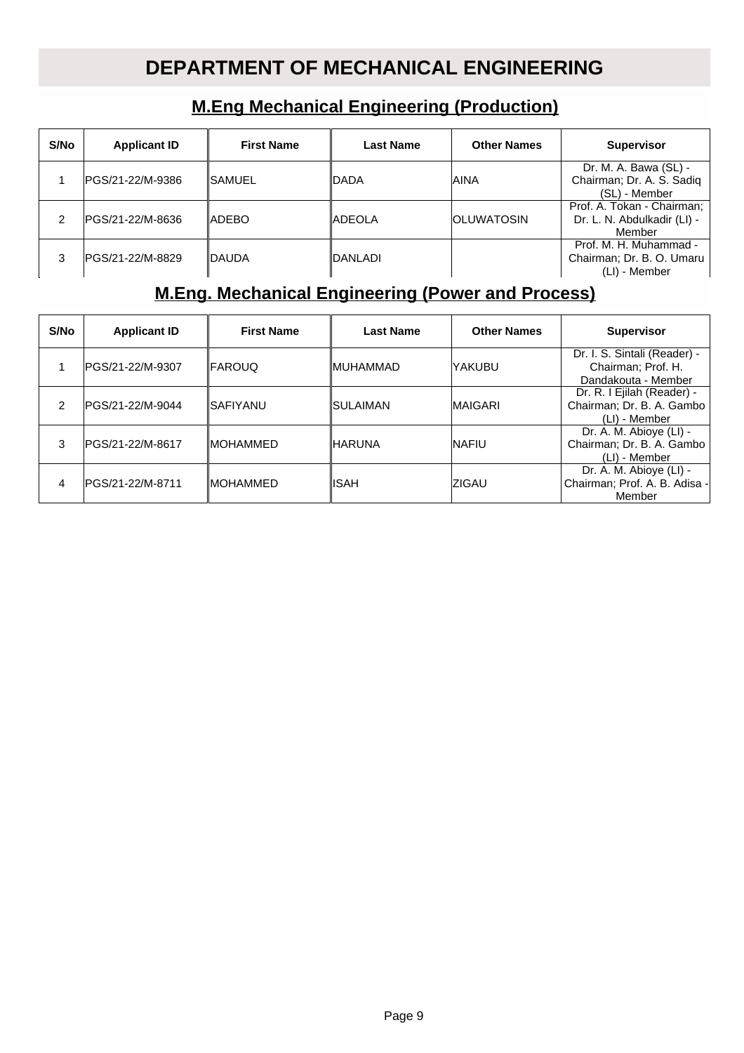# **DEPARTMENT OF MECHANICAL ENGINEERING**

## **M.Eng Mechanical Engineering (Production)**

| S/No | <b>Applicant ID</b> | <b>First Name</b> | Last Name   | <b>Other Names</b> | <b>Supervisor</b>                                                    |
|------|---------------------|-------------------|-------------|--------------------|----------------------------------------------------------------------|
|      | PGS/21-22/M-9386    | ∥SAMUEL           | <b>DADA</b> | laina              | Dr. M. A. Bawa (SL) -<br>Chairman; Dr. A. S. Sadiq<br>(SL) - Member  |
| 2    | PGS/21-22/M-8636    | ∥ADEBO            | ∥ADEOLA     | IOLUWATOSIN        | Prof. A. Tokan - Chairman;<br>Dr. L. N. Abdulkadir (LI) -<br>Member  |
| 3    | IPGS/21-22/M-8829   | IDAUDA            | IDANLADI    |                    | Prof. M. H. Muhammad -<br>Chairman; Dr. B. O. Umaru<br>(LI) - Member |

## **M.Eng. Mechanical Engineering (Power and Process)**

| S/No | <b>Applicant ID</b> | <b>First Name</b> | <b>Last Name</b> | <b>Other Names</b> | <b>Supervisor</b>                                                         |
|------|---------------------|-------------------|------------------|--------------------|---------------------------------------------------------------------------|
|      | lPGS/21-22/M-9307   | <b>IFAROUQ</b>    | ∥MUHAMMAD        | lYAKUBU            | Dr. I. S. Sintali (Reader) -<br>Chairman; Prof. H.<br>Dandakouta - Member |
| 2    | lPGS/21-22/M-9044   | ∥SAFIYANU         | ISULAIMAN        | <b>MAIGARI</b>     | Dr. R. I Ejilah (Reader) -<br>Chairman; Dr. B. A. Gambo<br>(LI) - Member  |
| 3    | IPGS/21-22/M-8617   | <b>IMOHAMMED</b>  | ∥HARUNA          | <b>INAFIU</b>      | Dr. A. M. Abioye (LI) -<br>Chairman; Dr. B. A. Gambo<br>(LI) - Member     |
| 4    | PGS/21-22/M-8711    | <b>IMOHAMMED</b>  | <b>ISAH</b>      | IZIGAU             | Dr. A. M. Abioye (LI) -<br>Chairman; Prof. A. B. Adisa -<br>Member        |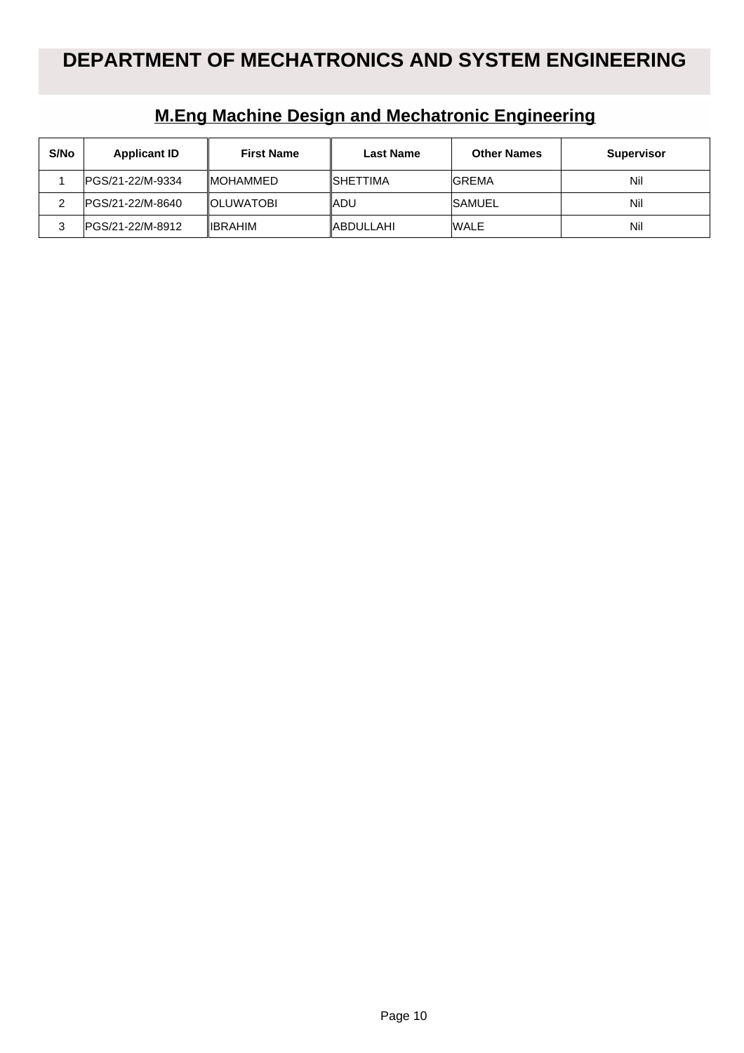| S/No | <b>Applicant ID</b> | <b>First Name</b> | <b>Last Name</b> | <b>Other Names</b> | <b>Supervisor</b> |
|------|---------------------|-------------------|------------------|--------------------|-------------------|
|      | IPGS/21-22/M-9334   | <b>IMOHAMMED</b>  | <b>ISHETTIMA</b> | <b>IGREMA</b>      | Nil               |
|      | IPGS/21-22/M-8640   | <b>IOLUWATOBI</b> | ∥ADU             | <b>SAMUEL</b>      | Nil               |
| 3    | IPGS/21-22/M-8912   | <b>IIBRAHIM</b>   | <b>ABDULLAHI</b> | <b>WALE</b>        | Nil               |

## **M.Eng Machine Design and Mechatronic Engineering**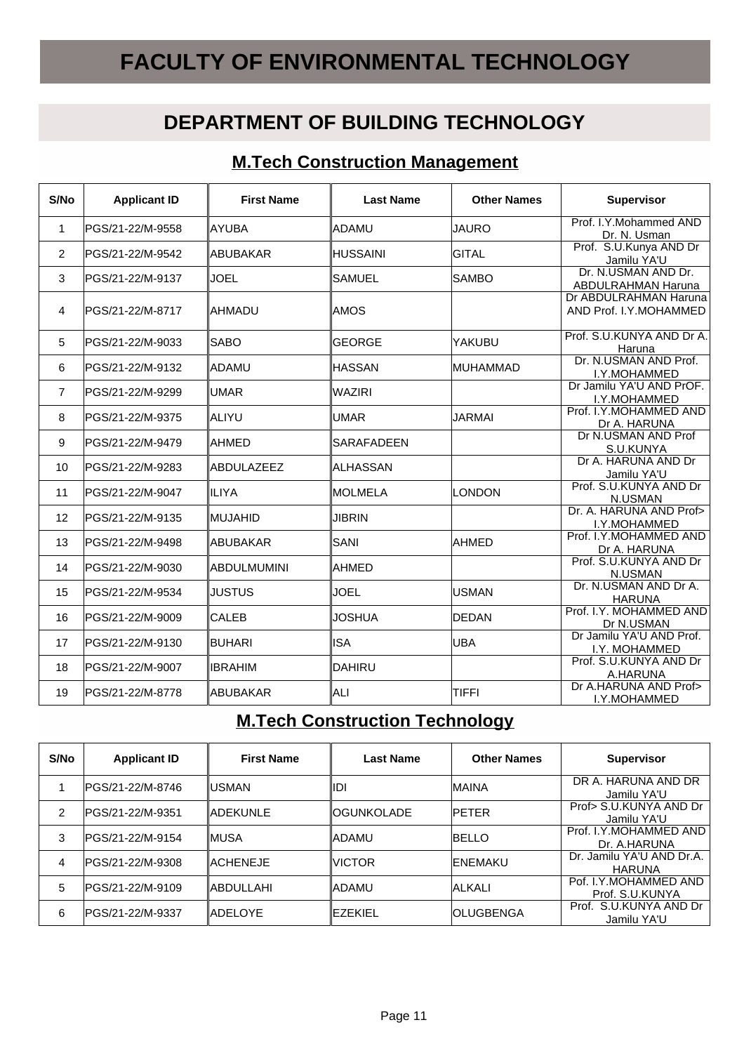# **FACULTY OF ENVIRONMENTAL TECHNOLOGY**

## **DEPARTMENT OF BUILDING TECHNOLOGY**

### **M.Tech Construction Management**

| S/No           | <b>Applicant ID</b> | <b>First Name</b>  | <b>Last Name</b>  | <b>Other Names</b> | <b>Supervisor</b>                                |
|----------------|---------------------|--------------------|-------------------|--------------------|--------------------------------------------------|
| 1              | PGS/21-22/M-9558    | ∣AYUBA             | ∥ADAMU            | <b>JAURO</b>       | Prof. I.Y.Mohammed AND<br>Dr. N. Usman           |
| 2              | PGS/21-22/M-9542    | <b>ABUBAKAR</b>    | <b>HUSSAINI</b>   | <b>GITAL</b>       | Prof. S.U.Kunya AND Dr<br>Jamilu YA'U            |
| 3              | PGS/21-22/M-9137    | <b>JOEL</b>        | <b>SAMUEL</b>     | <b>SAMBO</b>       | Dr. N.USMAN AND Dr.<br><b>ABDULRAHMAN Haruna</b> |
| 4              | PGS/21-22/M-8717    | IAHMADU            | IAMOS             |                    | Dr ABDULRAHMAN Haruna<br>AND Prof. I.Y.MOHAMMED  |
| 5              | PGS/21-22/M-9033    | <b>SABO</b>        | GEORGE            | lyakubu            | Prof. S.U.KUNYA AND Dr A.<br>Haruna              |
| 6              | PGS/21-22/M-9132    | ladamu             | <b>HASSAN</b>     | <b>MUHAMMAD</b>    | Dr. N.USMAN AND Prof.<br>I.Y.MOHAMMED            |
| $\overline{7}$ | PGS/21-22/M-9299    | <b>IUMAR</b>       | WAZIRI            |                    | Dr Jamilu YA'U AND PrOF.<br>I.Y.MOHAMMED         |
| 8              | PGS/21-22/M-9375    | ∥ALIYU             | UMAR              | <b>JARMAI</b>      | Prof. I.Y.MOHAMMED AND<br>Dr A. HARUNA           |
| 9              | PGS/21-22/M-9479    | <b>AHMED</b>       | <b>SARAFADEEN</b> |                    | Dr N.USMAN AND Prof<br>S.U.KUNYA                 |
| 10             | PGS/21-22/M-9283    | <b>ABDULAZEEZ</b>  | ∥ALHASSAN         |                    | Dr A. HARUNA AND Dr<br>Jamilu YA'U               |
| 11             | PGS/21-22/M-9047    | IILIYA             | <b>MOLMELA</b>    | LONDON             | Prof. S.U.KUNYA AND Dr<br>N.USMAN                |
| 12             | PGS/21-22/M-9135    | IMUJAHID           | <b>JIBRIN</b>     |                    | Dr. A. HARUNA AND Prof><br>I.Y.MOHAMMED          |
| 13             | PGS/21-22/M-9498    | ∥ABUBAKAR          | SANI              | <b>AHMED</b>       | Prof. I.Y.MOHAMMED AND<br>Dr A. HARUNA           |
| 14             | PGS/21-22/M-9030    | <b>ABDULMUMINI</b> | IAHMED            |                    | Prof. S.U.KUNYA AND Dr<br>N.USMAN                |
| 15             | PGS/21-22/M-9534    | <b>JUSTUS</b>      | <b>JOEL</b>       | <b>USMAN</b>       | Dr. N.USMAN AND Dr A.<br><b>HARUNA</b>           |
| 16             | PGS/21-22/M-9009    | <b>CALEB</b>       | <b>JOSHUA</b>     | DEDAN              | Prof. I.Y. MOHAMMED AND<br>Dr N.USMAN            |
| 17             | PGS/21-22/M-9130    | BUHARI             | <b>ISA</b>        | <b>UBA</b>         | Dr Jamilu YA'U AND Prof.<br>I.Y. MOHAMMED        |
| 18             | PGS/21-22/M-9007    | <b>IBRAHIM</b>     | DAHIRU            |                    | Prof. S.U.KUNYA AND Dr<br>A.HARUNA               |
| 19             | PGS/21-22/M-8778    | <b>ABUBAKAR</b>    | ∥ALI              | TIFFI              | Dr A.HARUNA AND Prof><br>I.Y.MOHAMMED            |

## **M.Tech Construction Technology**

| S/No           | <b>Applicant ID</b> | <b>First Name</b> | <b>Last Name</b>   | <b>Other Names</b> | <b>Supervisor</b>                          |
|----------------|---------------------|-------------------|--------------------|--------------------|--------------------------------------------|
|                | IPGS/21-22/M-8746   | IUSMAN            | llDI               | <b>MAINA</b>       | DR A. HARUNA AND DR<br>Jamilu YA'U         |
| $\overline{2}$ | IPGS/21-22/M-9351   | <b>IADEKUNLE</b>  | <b>IOGUNKOLADE</b> | <b>IPETER</b>      | Prof> S.U.KUNYA AND Dr<br>Jamilu YA'U      |
| 3              | IPGS/21-22/M-9154   | <b>IMUSA</b>      | ∥ADAMU             | <b>IBELLO</b>      | Prof. I.Y.MOHAMMED AND<br>Dr. A.HARUNA     |
| $\overline{4}$ | IPGS/21-22/M-9308   | <b>IACHENEJE</b>  | <b>IVICTOR</b>     | IENEMAKU           | Dr. Jamilu YA'U AND Dr.A.<br><b>HARUNA</b> |
| 5              | IPGS/21-22/M-9109   | <b>IABDULLAHI</b> | ∥ADAMU             | ALKALI             | Pof. I.Y.MOHAMMED AND<br>Prof. S.U.KUNYA   |
| 6              | IPGS/21-22/M-9337   | <b>ADELOYE</b>    | <b>IEZEKIEL</b>    | IOLUGBENGA         | Prof. S.U.KUNYA AND Dr<br>Jamilu YA'U      |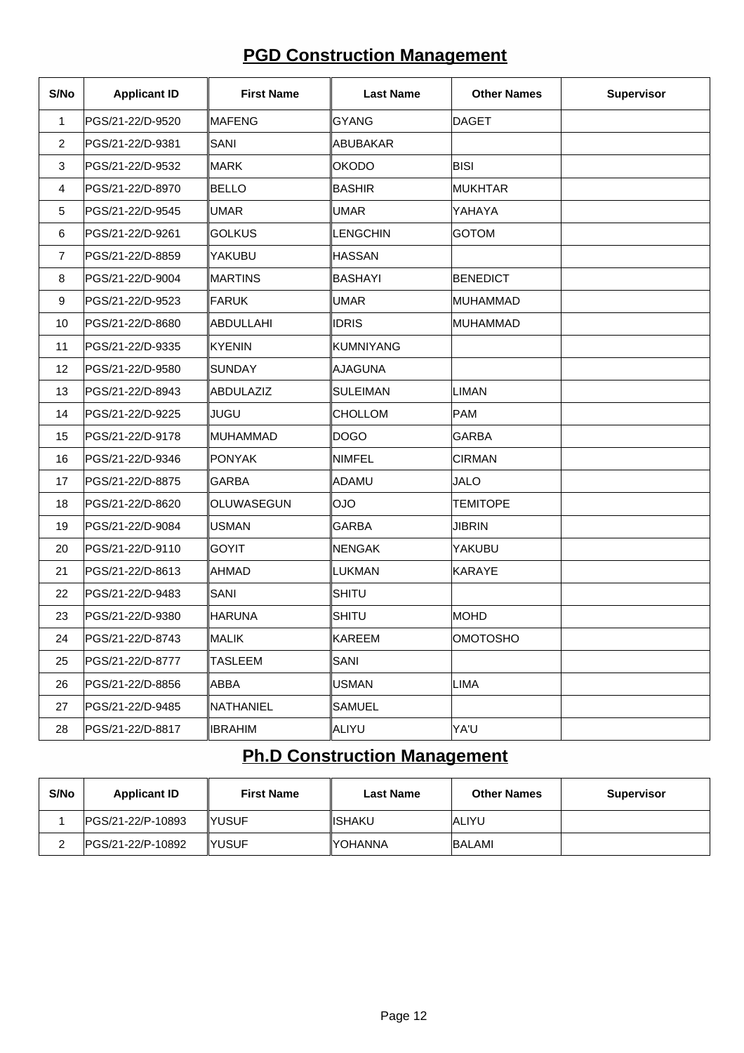# **PGD Construction Management**

| S/No           | <b>Applicant ID</b> | <b>First Name</b> | <b>Last Name</b> | <b>Other Names</b> | <b>Supervisor</b> |
|----------------|---------------------|-------------------|------------------|--------------------|-------------------|
| 1              | PGS/21-22/D-9520    | ∥MAFENG           | GYANG            | <b>DAGET</b>       |                   |
| $\overline{2}$ | PGS/21-22/D-9381    | <b>SANI</b>       | ABUBAKAR         |                    |                   |
| 3              | PGS/21-22/D-9532    | ∣MARK             | <b>OKODO</b>     | <b>BISI</b>        |                   |
| $\overline{4}$ | PGS/21-22/D-8970    | BELLO             | BASHIR           | <b>MUKHTAR</b>     |                   |
| 5              | PGS/21-22/D-9545    | UMAR              | <b>UMAR</b>      | YAHAYA             |                   |
| 6              | PGS/21-22/D-9261    | <b>GOLKUS</b>     | <b>LENGCHIN</b>  | <b>GOTOM</b>       |                   |
| 7              | PGS/21-22/D-8859    | YAKUBU            | <b>HASSAN</b>    |                    |                   |
| 8              | PGS/21-22/D-9004    | <b>MARTINS</b>    | BASHAYI          | <b>BENEDICT</b>    |                   |
| 9              | PGS/21-22/D-9523    | FARUK             | <b>UMAR</b>      | MUHAMMAD           |                   |
| 10             | PGS/21-22/D-8680    | ABDULLAHI         | <b>IDRIS</b>     | MUHAMMAD           |                   |
| 11             | PGS/21-22/D-9335    | ∣KYENIN           | KUMNIYANG        |                    |                   |
| 12             | PGS/21-22/D-9580    | <b>ISUNDAY</b>    | ∥AJAGUNA         |                    |                   |
| 13             | PGS/21-22/D-8943    | ABDULAZIZ         | SULEIMAN         | <b>LIMAN</b>       |                   |
| 14             | PGS/21-22/D-9225    | <b>JUGU</b>       | <b>CHOLLOM</b>   | PAM                |                   |
| 15             | PGS/21-22/D-9178    | MUHAMMAD          | DOGO             | <b>GARBA</b>       |                   |
| 16             | PGS/21-22/D-9346    | <b>PONYAK</b>     | NIMFEL           | <b>CIRMAN</b>      |                   |
| 17             | PGS/21-22/D-8875    | <b>GARBA</b>      | ∥ADAMU           | <b>JALO</b>        |                   |
| 18             | PGS/21-22/D-8620    | OLUWASEGUN        | OlOl             | <b>TEMITOPE</b>    |                   |
| 19             | PGS/21-22/D-9084    | USMAN             | GARBA            | <b>JIBRIN</b>      |                   |
| 20             | PGS/21-22/D-9110    | <b>GOYIT</b>      | NENGAK           | YAKUBU             |                   |
| 21             | PGS/21-22/D-8613    | AHMAD             | <b>LUKMAN</b>    | KARAYE             |                   |
| 22             | PGS/21-22/D-9483    | SANI              | SHITU            |                    |                   |
| 23             | PGS/21-22/D-9380    | <b>HARUNA</b>     | <b>SHITU</b>     | <b>MOHD</b>        |                   |
| 24             | PGS/21-22/D-8743    | ∥MALIK            | ∥KAREEM          | <b>OMOTOSHO</b>    |                   |
| 25             | PGS/21-22/D-8777    | <b>TASLEEM</b>    | SANI             |                    |                   |
| 26             | PGS/21-22/D-8856    | ∥ABBA             | USMAN            | <b>LIMA</b>        |                   |
| 27             | PGS/21-22/D-9485    | <b>NATHANIEL</b>  | SAMUEL           |                    |                   |
| 28             | PGS/21-22/D-8817    | IIBRAHIM          | ALIYU            | YA'U               |                   |

## **Ph.D Construction Management**

| S/No | <b>Applicant ID</b> | <b>First Name</b> | Last Name       | <b>Other Names</b> | <b>Supervisor</b> |
|------|---------------------|-------------------|-----------------|--------------------|-------------------|
|      | IPGS/21-22/P-10893  | IYUSUF            | <b>IISHAKU</b>  | <b>JALIYU</b>      |                   |
| _    | IPGS/21-22/P-10892  | IYUSUF            | <b>IYOHANNA</b> | <b>BALAMI</b>      |                   |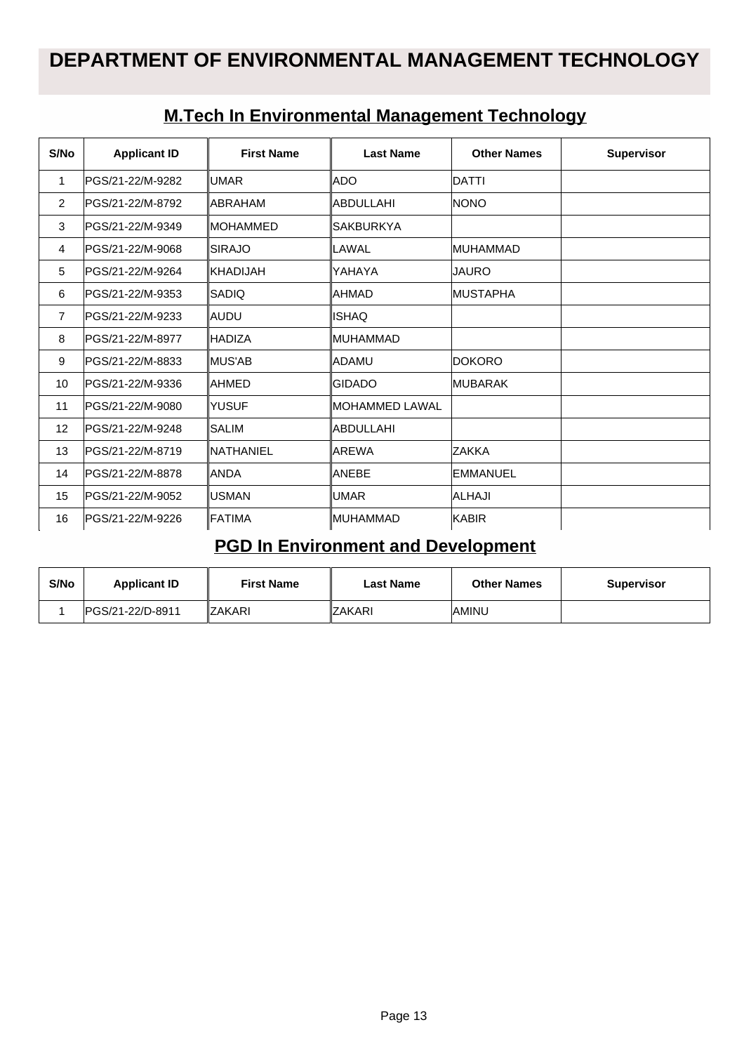| S/No           | <b>Applicant ID</b> | <b>First Name</b> | <b>Last Name</b> | <b>Other Names</b> | <b>Supervisor</b> |
|----------------|---------------------|-------------------|------------------|--------------------|-------------------|
| $\mathbf 1$    | PGS/21-22/M-9282    | <b>UMAR</b>       | ADO              | DATTI              |                   |
| 2              | PGS/21-22/M-8792    | IABRAHAM          | <b>ABDULLAHI</b> | <b>INONO</b>       |                   |
| 3              | PGS/21-22/M-9349    | <b>IMOHAMMED</b>  | <b>SAKBURKYA</b> |                    |                   |
| $\overline{4}$ | PGS/21-22/M-9068    | <b>SIRAJO</b>     | LAWAL            | <b>MUHAMMAD</b>    |                   |
| 5              | PGS/21-22/M-9264    | IKHADIJAH         | YAHAYA           | JAURO              |                   |
| 6              | PGS/21-22/M-9353    | SADIQ             | AHMAD            | <b>IMUSTAPHA</b>   |                   |
| $\overline{7}$ | PGS/21-22/M-9233    | laudu             | <b>ISHAQ</b>     |                    |                   |
| 8              | PGS/21-22/M-8977    | <b>IHADIZA</b>    | <b>MUHAMMAD</b>  |                    |                   |
| 9              | IPGS/21-22/M-8833   | IMUS'AB           | ADAMU            | <b>IDOKORO</b>     |                   |
| 10             | PGS/21-22/M-9336    | lAHMED            | <b>GIDADO</b>    | <b>IMUBARAK</b>    |                   |
| 11             | PGS/21-22/M-9080    | <b>YUSUF</b>      | MOHAMMED LAWAL   |                    |                   |
| 12             | PGS/21-22/M-9248    | <b>SALIM</b>      | ABDULLAHI        |                    |                   |
| 13             | PGS/21-22/M-8719    | <b>NATHANIEL</b>  | <b>AREWA</b>     | ZAKKA              |                   |
| 14             | PGS/21-22/M-8878    | <b>ANDA</b>       | <b>ANEBE</b>     | IEMMANUEL          |                   |
| 15             | PGS/21-22/M-9052    | <b>IUSMAN</b>     | <b>UMAR</b>      | lalhaji            |                   |
| 16             | PGS/21-22/M-9226    | <b>FATIMA</b>     | MUHAMMAD         | <b>KABIR</b>       |                   |

### **M.Tech In Environmental Management Technology**

## **PGD In Environment and Development**

| S/No | <b>Applicant ID</b> | <b>First Name</b> | Last Name      | <b>Other Names</b> | Supervisor |
|------|---------------------|-------------------|----------------|--------------------|------------|
|      | IPGS/21-22/D-8911   | <b>IZAKARI</b>    | <b>IZAKARI</b> | IAMINU             |            |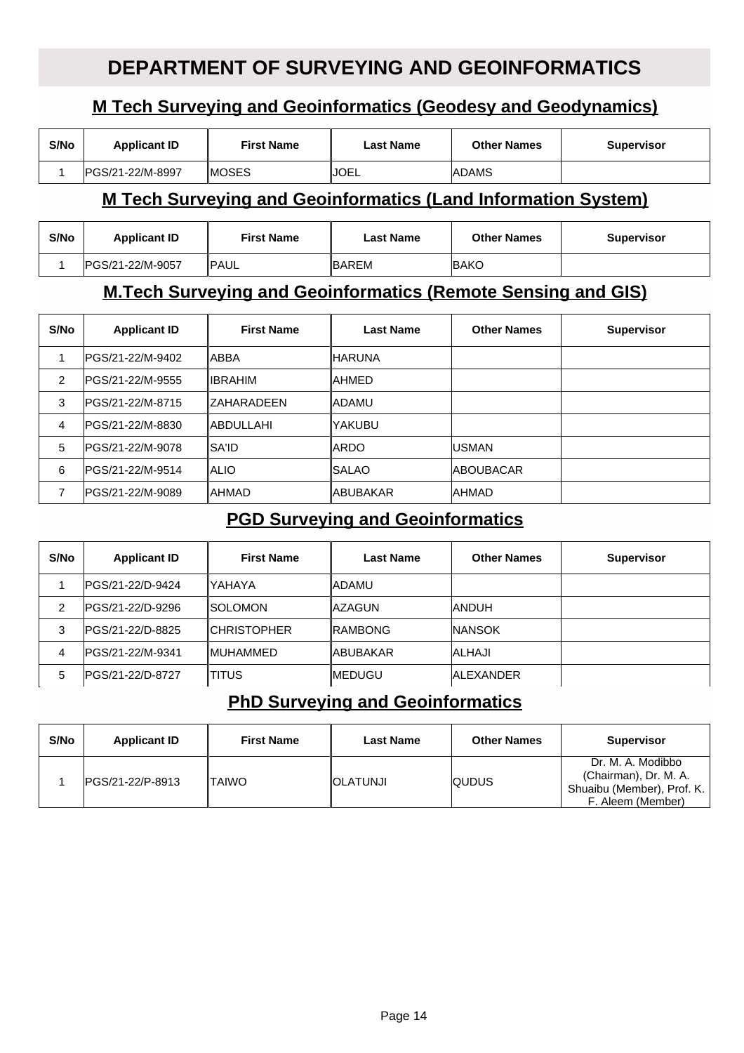## **DEPARTMENT OF SURVEYING AND GEOINFORMATICS**

### **M Tech Surveying and Geoinformatics (Geodesy and Geodynamics)**

| S/No | <b>Applicant ID</b> | First Name    | Last Name   | <b>Other Names</b> | <b>Supervisor</b> |
|------|---------------------|---------------|-------------|--------------------|-------------------|
|      | IPGS/21-22/M-8997   | <b>IMOSES</b> | <b>JOEL</b> | <b>IADAMS</b>      |                   |

#### **M Tech Surveying and Geoinformatics (Land Information System)**

| S/No | <b>Applicant ID</b> | <b>First Name</b> | Last Name     | <b>Other Names</b> | <b>Supervisor</b> |
|------|---------------------|-------------------|---------------|--------------------|-------------------|
|      | IPGS/21-22/M-9057   | <b>IPAUL</b>      | <b>IBAREM</b> | <b>IBAKO</b>       |                   |

#### **M.Tech Surveying and Geoinformatics (Remote Sensing and GIS)**

| S/No           | <b>Applicant ID</b> | <b>First Name</b>    | <b>Last Name</b>     | <b>Other Names</b> | <b>Supervisor</b> |
|----------------|---------------------|----------------------|----------------------|--------------------|-------------------|
|                | PGS/21-22/M-9402    | <b>ABBA</b>          | ∥HARUNA              |                    |                   |
| $\overline{2}$ | PGS/21-22/M-9555    | <b>IIBRAHIM</b>      | IAHMED               |                    |                   |
| 3              | IPGS/21-22/M-8715   | <b>IZAHARADEEN</b>   | <b>IADAMU</b>        |                    |                   |
| 4              | IPGS/21-22/M-8830   | <b>IABDULLAHI</b>    | lyakubu              |                    |                   |
| 5              | IPGS/21-22/M-9078   | <i><b>ISA'ID</b></i> | ∥ARDO                | <b>IUSMAN</b>      |                   |
| 6              | PGS/21-22/M-9514    | <b>ALIO</b>          | <i><b>ISALAO</b></i> | <b>ABOUBACAR</b>   |                   |
| ⇁              | IPGS/21-22/M-9089   | <b>IAHMAD</b>        | <b>IABUBAKAR</b>     | <b>IAHMAD</b>      |                   |

### **PGD Surveying and Geoinformatics**

| S/No | <b>Applicant ID</b>      | <b>First Name</b>   | <b>Last Name</b> | <b>Other Names</b> | <b>Supervisor</b> |
|------|--------------------------|---------------------|------------------|--------------------|-------------------|
|      | <b>IPGS/21-22/D-9424</b> | YAHAYA              | ∥ADAMU           |                    |                   |
| 2    | PGS/21-22/D-9296         | <b>ISOLOMON</b>     | <b>IAZAGUN</b>   | <b>ANDUH</b>       |                   |
| 3    | IPGS/21-22/D-8825        | <b>ICHRISTOPHER</b> | <b>IRAMBONG</b>  | <b>INANSOK</b>     |                   |
| 4    | IPGS/21-22/M-9341        | <b>IMUHAMMED</b>    | <b>IABUBAKAR</b> | IALHAJI            |                   |
| 5    | IPGS/21-22/D-8727        | ITITUS              | <b>IMEDUGU</b>   | IAI FXANDER        |                   |

#### **PhD Surveying and Geoinformatics**

| S/No | <b>Applicant ID</b> | <b>First Name</b> | <b>Last Name</b> | <b>Other Names</b> | <b>Supervisor</b>                                                                             |
|------|---------------------|-------------------|------------------|--------------------|-----------------------------------------------------------------------------------------------|
|      | IPGS/21-22/P-8913   | ITAIWO            | <b>IOLATUNJI</b> | <b>QUDUS</b>       | Dr. M. A. Modibbo<br>(Chairman), Dr. M. A.<br>Shuaibu (Member), Prof. K.<br>F. Aleem (Member) |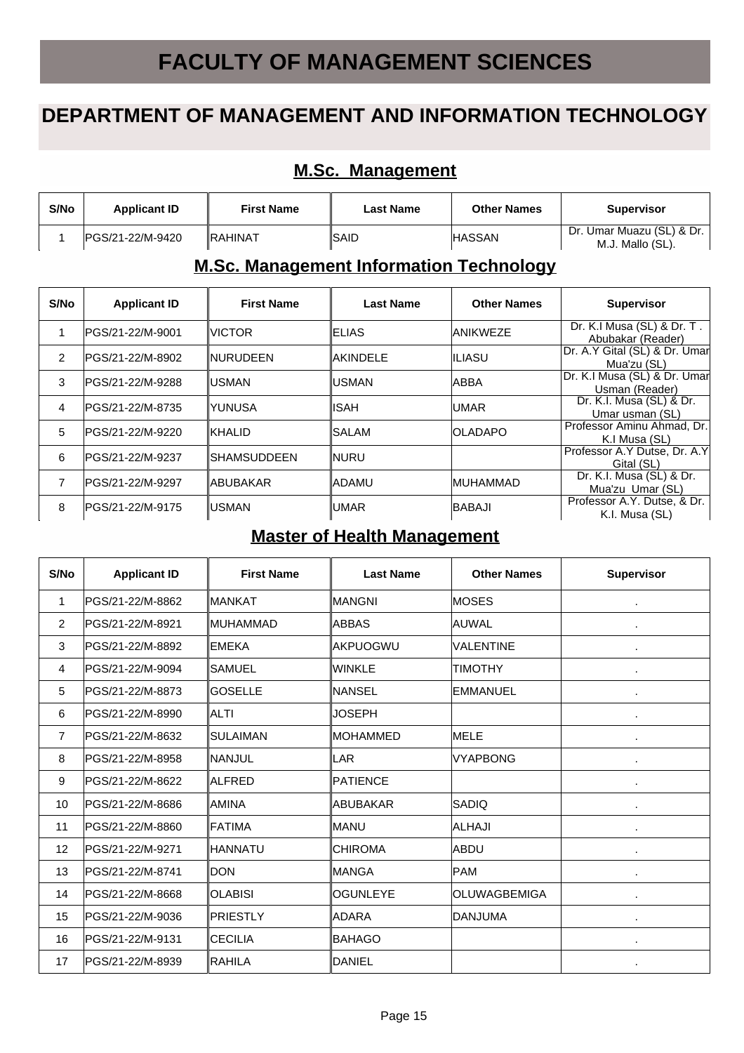# **FACULTY OF MANAGEMENT SCIENCES**

## **DEPARTMENT OF MANAGEMENT AND INFORMATION TECHNOLOGY**

#### **M.Sc. Management**

| S/No | <b>Applicant ID</b> | <b>First Name</b> | Last Name | <b>Other Names</b> | <b>Supervisor</b>                               |
|------|---------------------|-------------------|-----------|--------------------|-------------------------------------------------|
|      | IPGS/21-22/M-9420   | <b>IRAHINAT</b>   | ∥SAID     | <b>HASSAN</b>      | Dr. Umar Muazu (SL) & Dr.  <br>M.J. Mallo (SL). |

#### **M.Sc. Management Information Technology**

| S/No           | <b>Applicant ID</b> | <b>First Name</b> | Last Name | <b>Other Names</b> | <b>Supervisor</b>                               |
|----------------|---------------------|-------------------|-----------|--------------------|-------------------------------------------------|
|                | IPGS/21-22/M-9001   | <b>VICTOR</b>     | ∥ELIAS    | <b>ANIKWEZE</b>    | Dr. K.I Musa (SL) & Dr. T.<br>Abubakar (Reader) |
| $\overline{2}$ | IPGS/21-22/M-8902   | <b>INURUDEEN</b>  | ∥AKINDELE | IILIASU            | Dr. A.Y Gital (SL) & Dr. Umar<br>Mua'zu (SL)    |
| 3              | IPGS/21-22/M-9288   | IUSMAN            | ∥USMAN    | <b>ABBA</b>        | Dr. K.I Musa (SL) & Dr. Umar<br>Usman (Reader)  |
| 4              | IPGS/21-22/M-8735   | YUNUSA            | IISAH     | <b>IUMAR</b>       | Dr. K.I. Musa (SL) & Dr.<br>Umar usman (SL)     |
| 5              | IPGS/21-22/M-9220   | <b>IKHALID</b>    | ISALAM    | <b>IOLADAPO</b>    | Professor Aminu Ahmad, Dr.<br>K.I Musa (SL)     |
| 6              | IPGS/21-22/M-9237   | ∥SHAMSUDDEEN      | ∥NURU     |                    | Professor A.Y Dutse, Dr. A.Y<br>Gital (SL)      |
|                | IPGS/21-22/M-9297   | ∥ABUBAKAR         | ∥ADAMU    | <b>IMUHAMMAD</b>   | Dr. K.I. Musa (SL) & Dr.<br>Mua'zu Umar (SL)    |
| 8              | lPGS/21-22/M-9175   | IUSMAN            | ∥UMAR     | <b>BABAJI</b>      | Professor A.Y. Dutse, & Dr.<br>K.I. Musa (SL)   |

#### **Master of Health Management**

| S/No           | <b>Applicant ID</b> | <b>First Name</b> | <b>Last Name</b> | <b>Other Names</b>  | <b>Supervisor</b> |
|----------------|---------------------|-------------------|------------------|---------------------|-------------------|
| 1              | PGS/21-22/M-8862    | IMANKAT           | <b>MANGNI</b>    | <b>MOSES</b>        | $\blacksquare$    |
| $\overline{2}$ | PGS/21-22/M-8921    | <b>IMUHAMMAD</b>  | <b>ABBAS</b>     | AUWAL               | ×,                |
| 3              | PGS/21-22/M-8892    | <b>IEMEKA</b>     | <b>AKPUOGWU</b>  | <b>VALENTINE</b>    | ×,                |
| $\overline{4}$ | PGS/21-22/M-9094    | ISAMUEL           | WINKLE           | <b>TIMOTHY</b>      | ×,                |
| 5              | PGS/21-22/M-8873    | <b>GOSELLE</b>    | NANSEL           | <b>EMMANUEL</b>     | ×,                |
| 6              | PGS/21-22/M-8990    | IALTI             | JOSEPH           |                     | ٠                 |
| $\overline{7}$ | IPGS/21-22/M-8632   | ISULAIMAN         | <b>IMOHAMMED</b> | <b>MELE</b>         |                   |
| 8              | PGS/21-22/M-8958    | INANJUL           | LAR              | <b>VYAPBONG</b>     | $\blacksquare$    |
| 9              | PGS/21-22/M-8622    | <b>ALFRED</b>     | PATIENCE         |                     | $\blacksquare$    |
| 10             | PGS/21-22/M-8686    | IAMINA            | ABUBAKAR         | <b>SADIQ</b>        | $\blacksquare$    |
| 11             | PGS/21-22/M-8860    | <b>IFATIMA</b>    | <b>MANU</b>      | ALHAJI              |                   |
| 12             | PGS/21-22/M-9271    | ∥HANNATU          | ICHIROMA         | ABDU                | ×,                |
| 13             | PGS/21-22/M-8741    | Idon              | IMANGA           | PAM                 |                   |
| 14             | PGS/21-22/M-8668    | <b>OLABISI</b>    | <b>OGUNLEYE</b>  | <b>OLUWAGBEMIGA</b> | ×,                |
| 15             | PGS/21-22/M-9036    | ∥PRIESTLY         | <b>ADARA</b>     | <b>DANJUMA</b>      | ٠                 |
| 16             | IPGS/21-22/M-9131   | ICECILIA          | <b>BAHAGO</b>    |                     |                   |
| 17             | PGS/21-22/M-8939    | IRAHILA           | <b>DANIEL</b>    |                     |                   |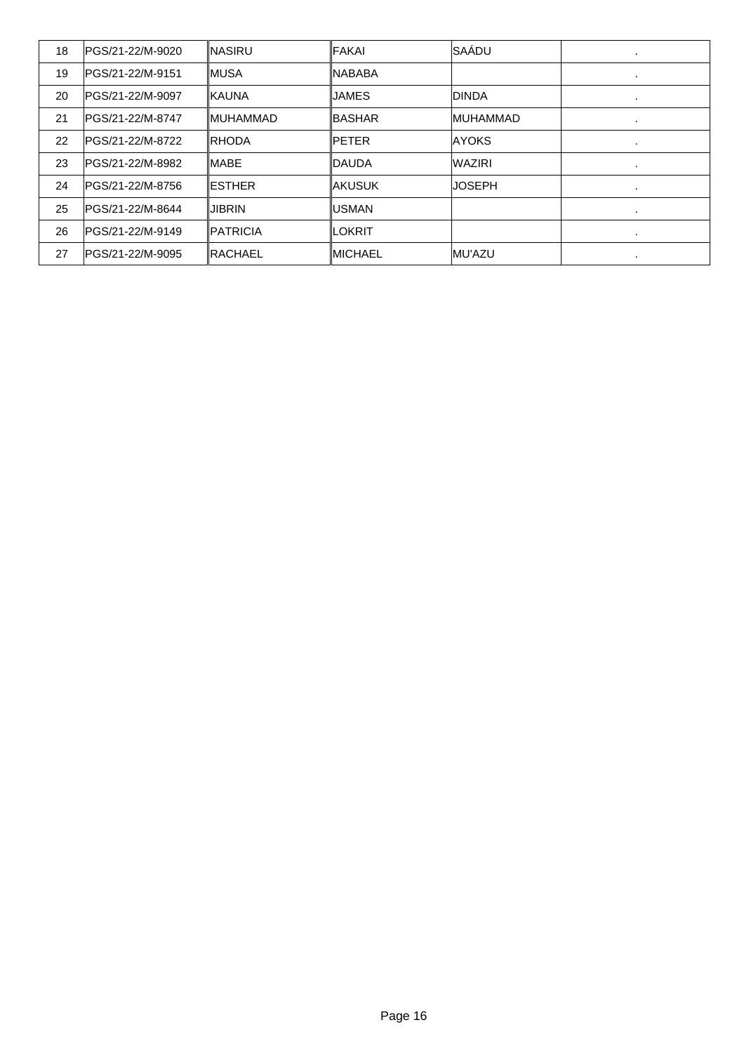| 18 | PGS/21-22/M-9020  | <b>INASIRU</b>   | FAKAI         | SAÁDU            | ٠       |
|----|-------------------|------------------|---------------|------------------|---------|
| 19 | IPGS/21-22/M-9151 | <b>IMUSA</b>     | INABABA       |                  | ٠       |
| 20 | IPGS/21-22/M-9097 | <b>IKAUNA</b>    | IJAMES        | <b>DINDA</b>     |         |
| 21 | PGS/21-22/M-8747  | <b>IMUHAMMAD</b> | <b>BASHAR</b> | <b>IMUHAMMAD</b> | ٠       |
| 22 | PGS/21-22/M-8722  | <b>IRHODA</b>    | <b>PETER</b>  | <b>JAYOKS</b>    | ٠       |
| 23 | IPGS/21-22/M-8982 | <b>IMABE</b>     | IDAUDA        | <b>WAZIRI</b>    | ٠       |
| 24 | IPGS/21-22/M-8756 | <b>IESTHER</b>   | IAKUSUK       | IJOSEPH          | $\cdot$ |
| 25 | PGS/21-22/M-8644  | IJIBRIN          | IUSMAN        |                  | ٠       |
| 26 | IPGS/21-22/M-9149 | <b>IPATRICIA</b> | ∥LOKRIT       |                  | ٠       |
| 27 | IPGS/21-22/M-9095 | ∥RACHAEL         | ∥MICHAEL      | <b>IMU'AZU</b>   | ٠       |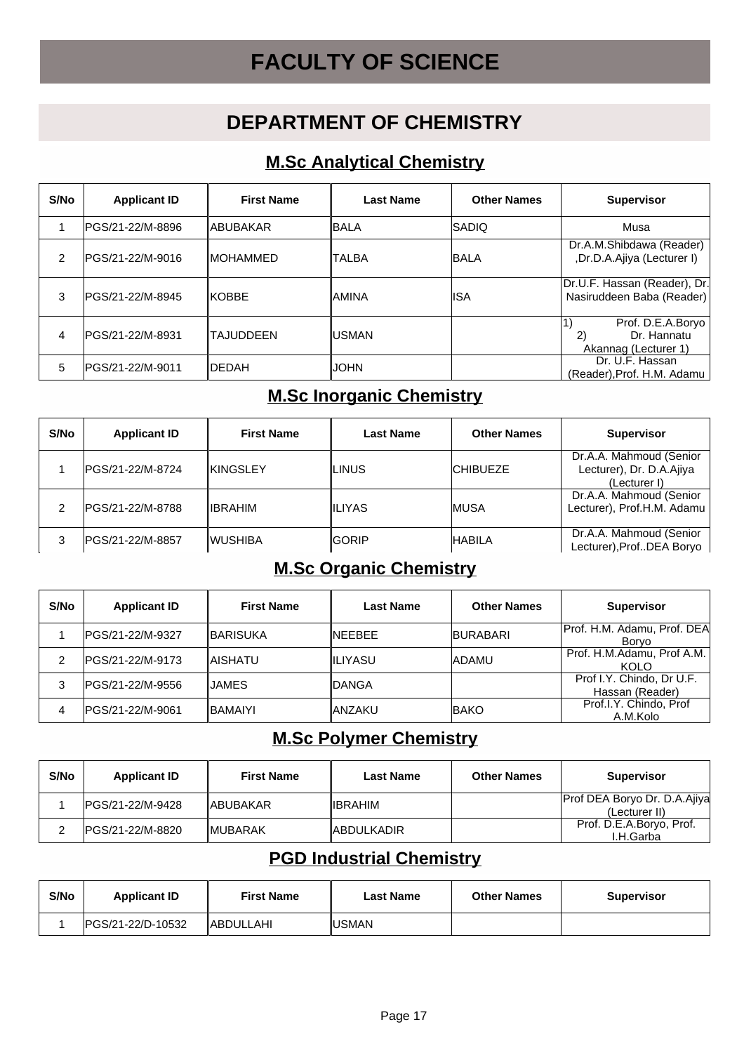# **FACULTY OF SCIENCE**

## **DEPARTMENT OF CHEMISTRY**

### **M.Sc Analytical Chemistry**

| S/No | <b>Applicant ID</b> | <b>First Name</b> | <b>Last Name</b> | <b>Other Names</b> | <b>Supervisor</b>                                              |
|------|---------------------|-------------------|------------------|--------------------|----------------------------------------------------------------|
|      | lPGS/21-22/M-8896   | ∥ABUBAKAR         | ∥BALA            | <b>ISADIQ</b>      | Musa                                                           |
| 2    | lPGS/21-22/M-9016   | ∥MOHAMMED         | <b>TALBA</b>     | <b>BALA</b>        | Dr.A.M.Shibdawa (Reader)<br>,Dr.D.A.Ajiya (Lecturer I)         |
| 3    | IPGS/21-22/M-8945   | IKOBBE            | ∥AMINA           | lISA               | Dr.U.F. Hassan (Reader), Dr. <br>Nasiruddeen Baba (Reader)     |
| 4    | IPGS/21-22/M-8931   | <b>ITAJUDDEEN</b> | IUSMAN           |                    | Prof. D.E.A.Boryo<br>Dr. Hannatu<br>2)<br>Akannag (Lecturer 1) |
| 5    | lPGS/21-22/M-9011   | <b>IDEDAH</b>     | IJOHN            |                    | Dr. U.F. Hassan<br>(Reader), Prof. H.M. Adamu                  |

## **M.Sc Inorganic Chemistry**

| S/No | <b>Applicant ID</b> | <b>First Name</b> | <b>Last Name</b> | <b>Other Names</b> | <b>Supervisor</b>                                                   |
|------|---------------------|-------------------|------------------|--------------------|---------------------------------------------------------------------|
|      | PGS/21-22/M-8724    | <b>KINGSLEY</b>   | ILINUS           | <b>ICHIBUEZE</b>   | Dr.A.A. Mahmoud (Senior<br>Lecturer), Dr. D.A.Ajiya<br>(Lecturer I) |
| 2    | PGS/21-22/M-8788    | ∥IBRAHIM          | ∥ILIYAS          | <b>IMUSA</b>       | Dr.A.A. Mahmoud (Senior<br>Lecturer), Prof.H.M. Adamu               |
| 3    | IPGS/21-22/M-8857   | ∥WUSHIBA          | <b>GORIP</b>     | <b>HABILA</b>      | Dr.A.A. Mahmoud (Senior<br>Lecturer), ProfDEA Boryo                 |

#### **M.Sc Organic Chemistry**

| S/No | <b>Applicant ID</b> | <b>First Name</b> | <b>Last Name</b> | <b>Other Names</b> | <b>Supervisor</b>                            |
|------|---------------------|-------------------|------------------|--------------------|----------------------------------------------|
|      | IPGS/21-22/M-9327   | <b>IBARISUKA</b>  | INFFBFF          | <b>BURABARI</b>    | Prof. H.M. Adamu, Prof. DEA<br><b>Borvo</b>  |
| 2    | IPGS/21-22/M-9173   | IAISHATU          | <b>IILIYASU</b>  | <b>ADAMU</b>       | Prof. H.M.Adamu, Prof A.M.<br><b>KOLO</b>    |
| 3    | IPGS/21-22/M-9556   | IJAMES.           | ∥DANGA           |                    | Prof I.Y. Chindo, Dr U.F.<br>Hassan (Reader) |
| 4    | IPGS/21-22/M-9061   | <b>IBAMAIYI</b>   | ∥ANZAKU          | <b>BAKO</b>        | Prof.I.Y. Chindo, Prof.<br>A.M.Kolo          |

## **M.Sc Polymer Chemistry**

| S/No | <b>Applicant ID</b> | <b>First Name</b> | <b>Last Name</b> | <b>Other Names</b> | <b>Supervisor</b>                             |
|------|---------------------|-------------------|------------------|--------------------|-----------------------------------------------|
|      | IPGS/21-22/M-9428   | <b>IABUBAKAR</b>  | <b>IIBRAHIM</b>  |                    | Prof DEA Boryo Dr. D.A.Ajiya<br>(Lecturer II) |
|      | IPGS/21-22/M-8820   | <b>IMUBARAK</b>   | ∥ABDULKADIR      |                    | Prof. D.E.A.Boryo, Prof.<br>I.H.Garba         |

## **PGD Industrial Chemistry**

| S/No | <b>Applicant ID</b> | <b>First Name</b> | Last Name     | <b>Other Names</b> | <b>Supervisor</b> |
|------|---------------------|-------------------|---------------|--------------------|-------------------|
|      | IPGS/21-22/D-10532  | <b>ABDULLAHI</b>  | <b>IUSMAN</b> |                    |                   |